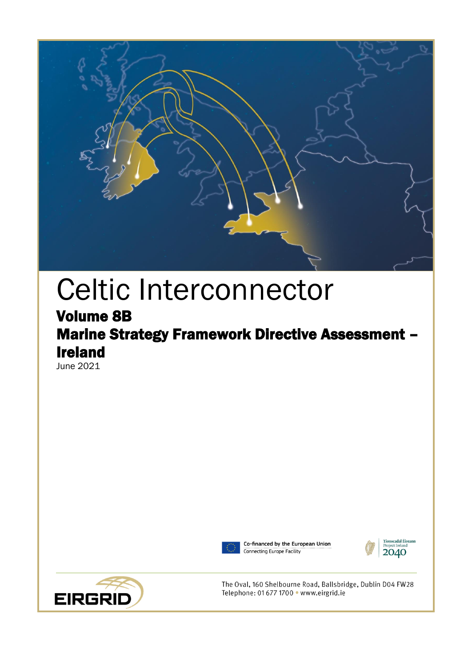

# Celtic Interconnector

# Volume 8B Marine Strategy Framework Directive Assessment – Ireland

June 2021



Co-financed by the European Union Connecting Europe Facility





The Oval, 160 Shelbourne Road, Ballsbridge, Dublin D04 FW28 Telephone: 01 677 1700 · www.eirgrid.ie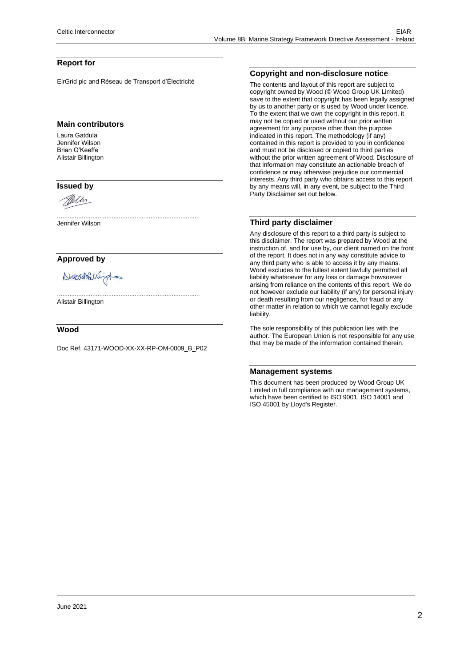#### **Report for**

EirGrid plc and Réseau de Transport d'Électricité

#### **Main contributors**

Laura Gatdula Jennifer Wilson Brian O'Keeffe Alistair Billington

#### **Issued by**



Jennifer Wilson

#### **Approved by**

Abitanoblishingt

Alistair Billington

#### **Wood**

Doc Ref. 43171-WOOD-XX-XX-RP-OM-0009\_B\_P02

.................................................................................

.................................................................................

#### **Copyright and non-disclosure notice**

The contents and layout of this report are subject to copyright owned by Wood (© Wood Group UK Limited) save to the extent that copyright has been legally assigned by us to another party or is used by Wood under licence. To the extent that we own the copyright in this report, it may not be copied or used without our prior written agreement for any purpose other than the purpose indicated in this report. The methodology (if any) contained in this report is provided to you in confidence and must not be disclosed or copied to third parties without the prior written agreement of Wood. Disclosure of that information may constitute an actionable breach of confidence or may otherwise prejudice our commercial interests. Any third party who obtains access to this report by any means will, in any event, be subject to the Third Party Disclaimer set out below.

#### **Third party disclaimer**

Any disclosure of this report to a third party is subject to this disclaimer. The report was prepared by Wood at the instruction of, and for use by, our client named on the front of the report. It does not in any way constitute advice to any third party who is able to access it by any means. Wood excludes to the fullest extent lawfully permitted all liability whatsoever for any loss or damage howsoever arising from reliance on the contents of this report. We do not however exclude our liability (if any) for personal injury or death resulting from our negligence, for fraud or any other matter in relation to which we cannot legally exclude liability.

The sole responsibility of this publication lies with the author. The European Union is not responsible for any use that may be made of the information contained therein.

#### **Management systems**

This document has been produced by Wood Group UK Limited in full compliance with our management systems, which have been certified to ISO 9001, ISO 14001 and ISO 45001 by Lloyd's Register.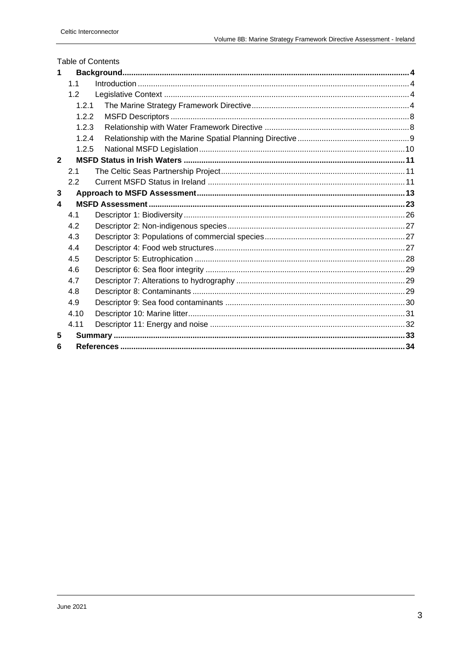|                | <b>Table of Contents</b> |  |
|----------------|--------------------------|--|
| 1              |                          |  |
|                | 1.1                      |  |
|                | 1.2                      |  |
|                | 1.2.1                    |  |
|                | 1.2.2                    |  |
|                | 1.2.3                    |  |
|                | 1.2.4                    |  |
|                | 1.2.5                    |  |
| $\overline{2}$ |                          |  |
|                | 2.1                      |  |
|                | 2.2                      |  |
| 3              |                          |  |
| 4              |                          |  |
|                | 4.1                      |  |
|                | 4.2                      |  |
|                | 4.3                      |  |
|                | 4.4                      |  |
|                | 4.5                      |  |
|                | 4.6                      |  |
|                | 4.7                      |  |
|                | 4.8                      |  |
|                | 4.9                      |  |
|                | 4.10                     |  |
|                | 4.11                     |  |
|                |                          |  |
| 5              |                          |  |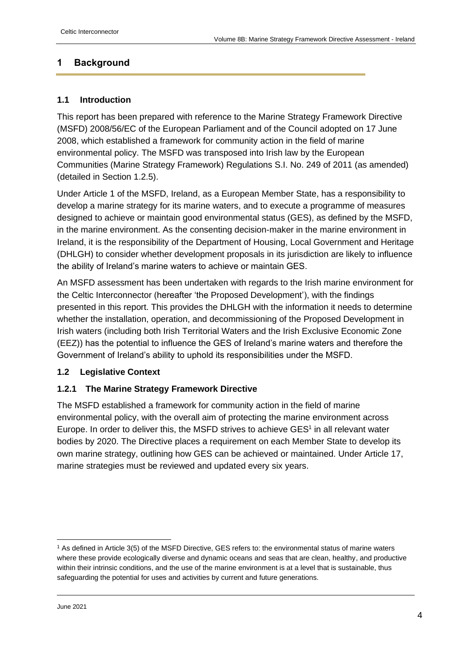# <span id="page-3-0"></span>**1 Background**

#### <span id="page-3-1"></span>**1.1 Introduction**

This report has been prepared with reference to the Marine Strategy Framework Directive (MSFD) 2008/56/EC of the European Parliament and of the Council adopted on 17 June 2008, which established a framework for community action in the field of marine environmental policy. The MSFD was transposed into Irish law by the European Communities (Marine Strategy Framework) Regulations S.I. No. 249 of 2011 (as amended) (detailed in Section [1.2.5\)](#page-9-0).

Under Article 1 of the MSFD, Ireland, as a European Member State, has a responsibility to develop a marine strategy for its marine waters, and to execute a programme of measures designed to achieve or maintain good environmental status (GES), as defined by the MSFD, in the marine environment. As the consenting decision-maker in the marine environment in Ireland, it is the responsibility of the Department of Housing, Local Government and Heritage (DHLGH) to consider whether development proposals in its jurisdiction are likely to influence the ability of Ireland's marine waters to achieve or maintain GES.

An MSFD assessment has been undertaken with regards to the Irish marine environment for the Celtic Interconnector (hereafter 'the Proposed Development'), with the findings presented in this report. This provides the DHLGH with the information it needs to determine whether the installation, operation, and decommissioning of the Proposed Development in Irish waters (including both Irish Territorial Waters and the Irish Exclusive Economic Zone (EEZ)) has the potential to influence the GES of Ireland's marine waters and therefore the Government of Ireland's ability to uphold its responsibilities under the MSFD.

# <span id="page-3-2"></span>**1.2 Legislative Context**

# <span id="page-3-3"></span>**1.2.1 The Marine Strategy Framework Directive**

The MSFD established a framework for community action in the field of marine environmental policy, with the overall aim of protecting the marine environment across Europe. In order to deliver this, the MSFD strives to achieve  $GES<sup>1</sup>$  in all relevant water bodies by 2020. The Directive places a requirement on each Member State to develop its own marine strategy, outlining how GES can be achieved or maintained. Under Article 17, marine strategies must be reviewed and updated every six years.

<sup>1</sup> As defined in Article 3(5) of the MSFD Directive, GES refers to: the environmental status of marine waters where these provide ecologically diverse and dynamic oceans and seas that are clean, healthy, and productive within their intrinsic conditions, and the use of the marine environment is at a level that is sustainable, thus safeguarding the potential for uses and activities by current and future generations.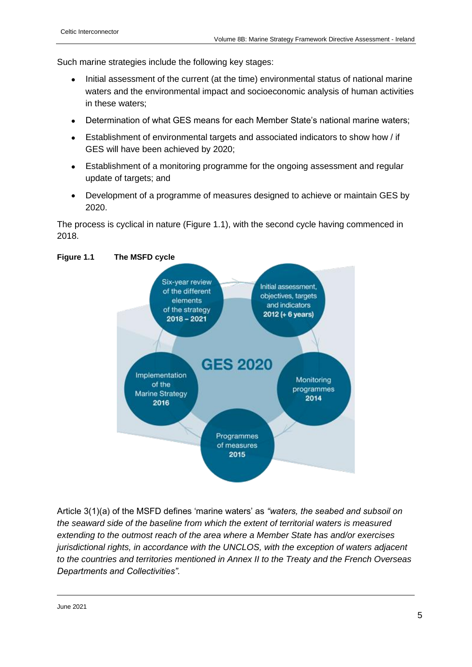Such marine strategies include the following key stages:

- Initial assessment of the current (at the time) environmental status of national marine waters and the environmental impact and socioeconomic analysis of human activities in these waters;
- Determination of what GES means for each Member State's national marine waters;
- Establishment of environmental targets and associated indicators to show how / if GES will have been achieved by 2020;
- Establishment of a monitoring programme for the ongoing assessment and regular update of targets; and
- Development of a programme of measures designed to achieve or maintain GES by 2020.

The process is cyclical in nature (Figure 1.1), with the second cycle having commenced in 2018.



Article 3(1)(a) of the MSFD defines 'marine waters' as *"waters, the seabed and subsoil on the seaward side of the baseline from which the extent of territorial waters is measured extending to the outmost reach of the area where a Member State has and/or exercises jurisdictional rights, in accordance with the UNCLOS, with the exception of waters adjacent to the countries and territories mentioned in Annex II to the Treaty and the French Overseas Departments and Collectivities".*

#### **Figure 1.1 The MSFD cycle**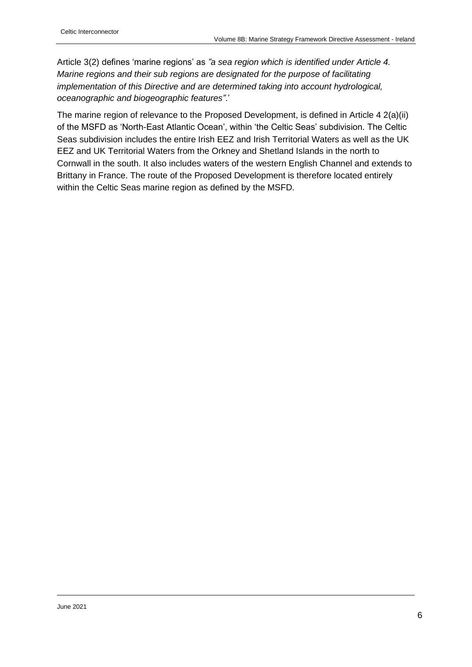Article 3(2) defines 'marine regions' as *"a sea region which is identified under Article 4. Marine regions and their sub regions are designated for the purpose of facilitating implementation of this Directive and are determined taking into account hydrological, oceanographic and biogeographic features"*.'

The marine region of relevance to the Proposed Development, is defined in Article 4 2(a)(ii) of the MSFD as 'North-East Atlantic Ocean', within 'the Celtic Seas' subdivision. The Celtic Seas subdivision includes the entire Irish EEZ and Irish Territorial Waters as well as the UK EEZ and UK Territorial Waters from the Orkney and Shetland Islands in the north to Cornwall in the south. It also includes waters of the western English Channel and extends to Brittany in France. The route of the Proposed Development is therefore located entirely within the Celtic Seas marine region as defined by the MSFD.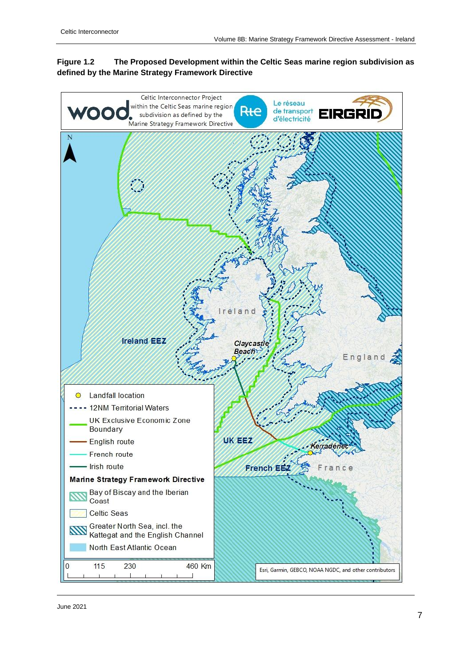#### **Figure 1.2 The Proposed Development within the Celtic Seas marine region subdivision as defined by the Marine Strategy Framework Directive**

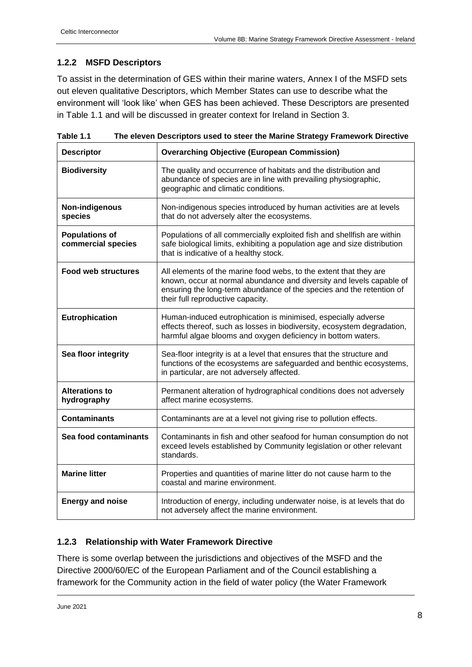# <span id="page-7-0"></span>**1.2.2 MSFD Descriptors**

To assist in the determination of GES within their marine waters, Annex I of the MSFD sets out eleven qualitative Descriptors, which Member States can use to describe what the environment will 'look like' when GES has been achieved. These Descriptors are presented in Table 1.1 and will be discussed in greater context for Ireland in Section 3.

| <b>Descriptor</b>                           | <b>Overarching Objective (European Commission)</b>                                                                                                                                                                                                     |
|---------------------------------------------|--------------------------------------------------------------------------------------------------------------------------------------------------------------------------------------------------------------------------------------------------------|
| <b>Biodiversity</b>                         | The quality and occurrence of habitats and the distribution and<br>abundance of species are in line with prevailing physiographic,<br>geographic and climatic conditions.                                                                              |
| Non-indigenous<br>species                   | Non-indigenous species introduced by human activities are at levels<br>that do not adversely alter the ecosystems.                                                                                                                                     |
| <b>Populations of</b><br>commercial species | Populations of all commercially exploited fish and shellfish are within<br>safe biological limits, exhibiting a population age and size distribution<br>that is indicative of a healthy stock.                                                         |
| <b>Food web structures</b>                  | All elements of the marine food webs, to the extent that they are<br>known, occur at normal abundance and diversity and levels capable of<br>ensuring the long-term abundance of the species and the retention of<br>their full reproductive capacity. |
| Eutrophication                              | Human-induced eutrophication is minimised, especially adverse<br>effects thereof, such as losses in biodiversity, ecosystem degradation,<br>harmful algae blooms and oxygen deficiency in bottom waters.                                               |
| Sea floor integrity                         | Sea-floor integrity is at a level that ensures that the structure and<br>functions of the ecosystems are safeguarded and benthic ecosystems,<br>in particular, are not adversely affected.                                                             |
| <b>Alterations to</b><br>hydrography        | Permanent alteration of hydrographical conditions does not adversely<br>affect marine ecosystems.                                                                                                                                                      |
| <b>Contaminants</b>                         | Contaminants are at a level not giving rise to pollution effects.                                                                                                                                                                                      |
| Sea food contaminants                       | Contaminants in fish and other seafood for human consumption do not<br>exceed levels established by Community legislation or other relevant<br>standards.                                                                                              |
| <b>Marine litter</b>                        | Properties and quantities of marine litter do not cause harm to the<br>coastal and marine environment.                                                                                                                                                 |
| <b>Energy and noise</b>                     | Introduction of energy, including underwater noise, is at levels that do<br>not adversely affect the marine environment.                                                                                                                               |

**Table 1.1 The eleven Descriptors used to steer the Marine Strategy Framework Directive**

#### <span id="page-7-1"></span>**1.2.3 Relationship with Water Framework Directive**

There is some overlap between the jurisdictions and objectives of the MSFD and the Directive 2000/60/EC of the European Parliament and of the Council establishing a framework for the Community action in the field of water policy (the Water Framework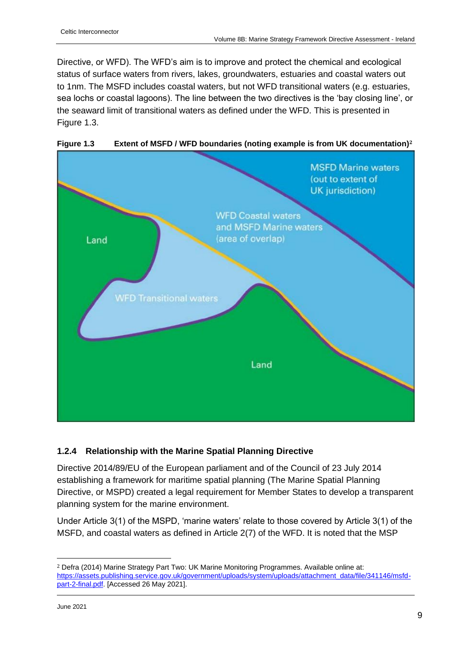Directive, or WFD). The WFD's aim is to improve and protect the chemical and ecological status of surface waters from rivers, lakes, groundwaters, estuaries and coastal waters out to 1nm. The MSFD includes coastal waters, but not WFD transitional waters (e.g. estuaries, sea lochs or coastal lagoons). The line between the two directives is the 'bay closing line', or the seaward limit of transitional waters as defined under the WFD. This is presented in Figure 1.3.



**Figure 1.3 Extent of MSFD / WFD boundaries (noting example is from UK documentation)<sup>2</sup>**

# <span id="page-8-0"></span>**1.2.4 Relationship with the Marine Spatial Planning Directive**

Directive 2014/89/EU of the European parliament and of the Council of 23 July 2014 establishing a framework for maritime spatial planning (The Marine Spatial Planning Directive, or MSPD) created a legal requirement for Member States to develop a transparent planning system for the marine environment.

Under Article 3(1) of the MSPD, 'marine waters' relate to those covered by Article 3(1) of the MSFD, and coastal waters as defined in Article 2(7) of the WFD. It is noted that the MSP

<sup>2</sup> Defra (2014) Marine Strategy Part Two: UK Marine Monitoring Programmes. Available online at: [https://assets.publishing.service.gov.uk/government/uploads/system/uploads/attachment\\_data/file/341146/msfd](https://assets.publishing.service.gov.uk/government/uploads/system/uploads/attachment_data/file/341146/msfd-part-2-final.pdf)[part-2-final.pdf.](https://assets.publishing.service.gov.uk/government/uploads/system/uploads/attachment_data/file/341146/msfd-part-2-final.pdf) [Accessed 26 May 2021].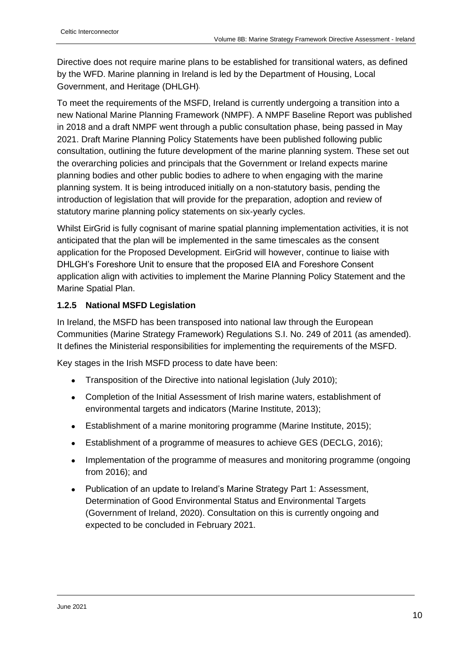Directive does not require marine plans to be established for transitional waters, as defined by the WFD. Marine planning in Ireland is led by the Department of Housing, Local Government, and Heritage (DHLGH).

To meet the requirements of the MSFD, Ireland is currently undergoing a transition into a new National Marine Planning Framework (NMPF). A NMPF Baseline Report was published in 2018 and a draft NMPF went through a public consultation phase, being passed in May 2021. Draft Marine Planning Policy Statements have been published following public consultation, outlining the future development of the marine planning system. These set out the overarching policies and principals that the Government or Ireland expects marine planning bodies and other public bodies to adhere to when engaging with the marine planning system. It is being introduced initially on a non-statutory basis, pending the introduction of legislation that will provide for the preparation, adoption and review of statutory marine planning policy statements on six-yearly cycles.

Whilst EirGrid is fully cognisant of marine spatial planning implementation activities, it is not anticipated that the plan will be implemented in the same timescales as the consent application for the Proposed Development. EirGrid will however, continue to liaise with DHLGH's Foreshore Unit to ensure that the proposed EIA and Foreshore Consent application align with activities to implement the Marine Planning Policy Statement and the Marine Spatial Plan.

#### <span id="page-9-0"></span>**1.2.5 National MSFD Legislation**

In Ireland, the MSFD has been transposed into national law through the European Communities (Marine Strategy Framework) Regulations S.I. No. 249 of 2011 (as amended). It defines the Ministerial responsibilities for implementing the requirements of the MSFD.

Key stages in the Irish MSFD process to date have been:

- Transposition of the Directive into national legislation (July 2010);
- Completion of the Initial Assessment of Irish marine waters, establishment of environmental targets and indicators (Marine Institute, 2013);
- Establishment of a marine monitoring programme (Marine Institute, 2015);
- Establishment of a programme of measures to achieve GES (DECLG, 2016);
- Implementation of the programme of measures and monitoring programme (ongoing from 2016); and
- Publication of an update to Ireland's Marine Strategy Part 1: Assessment, Determination of Good Environmental Status and Environmental Targets (Government of Ireland, 2020). Consultation on this is currently ongoing and expected to be concluded in February 2021.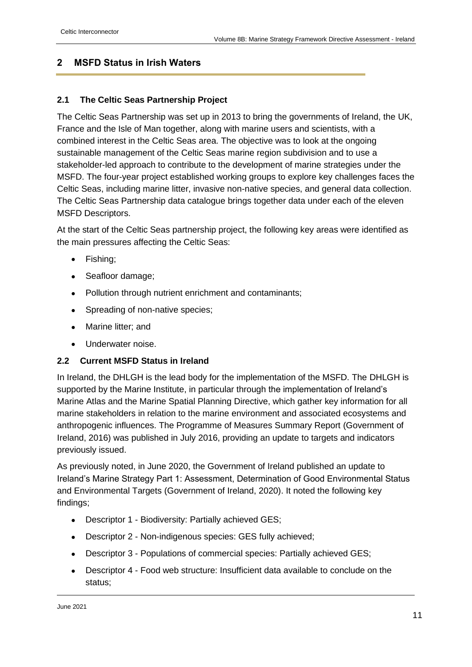# <span id="page-10-0"></span>**2 MSFD Status in Irish Waters**

#### <span id="page-10-1"></span>**2.1 The Celtic Seas Partnership Project**

The Celtic Seas Partnership was set up in 2013 to bring the governments of Ireland, the UK, France and the Isle of Man together, along with marine users and scientists, with a combined interest in the Celtic Seas area. The objective was to look at the ongoing sustainable management of the Celtic Seas marine region subdivision and to use a stakeholder-led approach to contribute to the development of marine strategies under the MSFD. The four-year project established working groups to explore key challenges faces the Celtic Seas, including marine litter, invasive non-native species, and general data collection. The Celtic Seas Partnership data catalogue brings together data under each of the eleven MSFD Descriptors.

At the start of the Celtic Seas partnership project, the following key areas were identified as the main pressures affecting the Celtic Seas:

- Fishing;
- Seafloor damage;
- Pollution through nutrient enrichment and contaminants;
- Spreading of non-native species;
- Marine litter; and
- Underwater noise.

#### <span id="page-10-2"></span>**2.2 Current MSFD Status in Ireland**

In Ireland, the DHLGH is the lead body for the implementation of the MSFD. The DHLGH is supported by the Marine Institute, in particular through the implementation of Ireland's Marine Atlas and the Marine Spatial Planning Directive, which gather key information for all marine stakeholders in relation to the marine environment and associated ecosystems and anthropogenic influences. The Programme of Measures Summary Report (Government of Ireland, 2016) was published in July 2016, providing an update to targets and indicators previously issued.

As previously noted, in June 2020, the Government of Ireland published an update to Ireland's Marine Strategy Part 1: Assessment, Determination of Good Environmental Status and Environmental Targets (Government of Ireland, 2020). It noted the following key findings;

- Descriptor 1 Biodiversity: Partially achieved GES;
- Descriptor 2 Non-indigenous species: GES fully achieved;
- Descriptor 3 Populations of commercial species: Partially achieved GES;
- Descriptor 4 Food web structure: Insufficient data available to conclude on the status;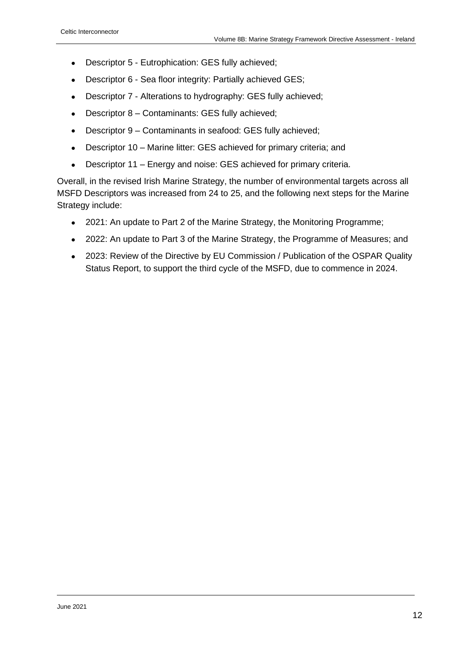- Descriptor 5 Eutrophication: GES fully achieved;
- Descriptor 6 Sea floor integrity: Partially achieved GES;
- Descriptor 7 Alterations to hydrography: GES fully achieved;
- Descriptor 8 Contaminants: GES fully achieved;
- Descriptor 9 Contaminants in seafood: GES fully achieved;
- Descriptor 10 Marine litter: GES achieved for primary criteria; and
- Descriptor 11 Energy and noise: GES achieved for primary criteria.

Overall, in the revised Irish Marine Strategy, the number of environmental targets across all MSFD Descriptors was increased from 24 to 25, and the following next steps for the Marine Strategy include:

- 2021: An update to Part 2 of the Marine Strategy, the Monitoring Programme;
- 2022: An update to Part 3 of the Marine Strategy, the Programme of Measures; and
- 2023: Review of the Directive by EU Commission / Publication of the OSPAR Quality Status Report, to support the third cycle of the MSFD, due to commence in 2024.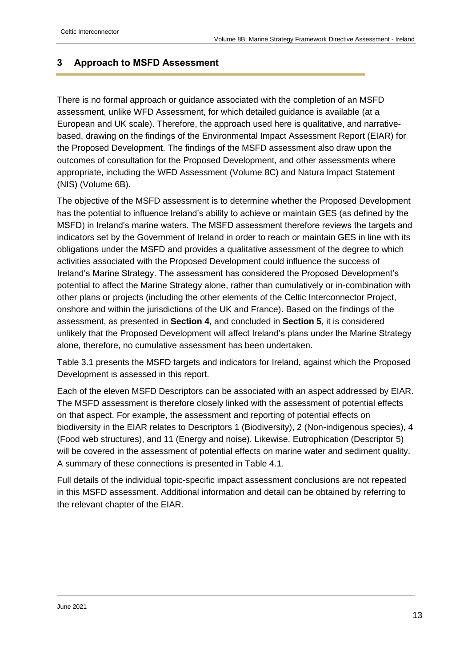# <span id="page-12-0"></span>**3 Approach to MSFD Assessment**

There is no formal approach or guidance associated with the completion of an MSFD assessment, unlike WFD Assessment, for which detailed guidance is available (at a European and UK scale). Therefore, the approach used here is qualitative, and narrativebased, drawing on the findings of the Environmental Impact Assessment Report (EIAR) for the Proposed Development. The findings of the MSFD assessment also draw upon the outcomes of consultation for the Proposed Development, and other assessments where appropriate, including the WFD Assessment (Volume 8C) and Natura Impact Statement (NIS) (Volume 6B).

The objective of the MSFD assessment is to determine whether the Proposed Development has the potential to influence Ireland's ability to achieve or maintain GES (as defined by the MSFD) in Ireland's marine waters. The MSFD assessment therefore reviews the targets and indicators set by the Government of Ireland in order to reach or maintain GES in line with its obligations under the MSFD and provides a qualitative assessment of the degree to which activities associated with the Proposed Development could influence the success of Ireland's Marine Strategy. The assessment has considered the Proposed Development's potential to affect the Marine Strategy alone, rather than cumulatively or in-combination with other plans or projects (including the other elements of the Celtic Interconnector Project, onshore and within the jurisdictions of the UK and France). Based on the findings of the assessment, as presented in **Section [4](#page-22-0)**, and concluded in **Section [5](#page-32-0)**, it is considered unlikely that the Proposed Development will affect Ireland's plans under the Marine Strategy alone, therefore, no cumulative assessment has been undertaken.

Table 3.1 presents the MSFD targets and indicators for Ireland, against which the Proposed Development is assessed in this report.

Each of the eleven MSFD Descriptors can be associated with an aspect addressed by EIAR. The MSFD assessment is therefore closely linked with the assessment of potential effects on that aspect. For example, the assessment and reporting of potential effects on biodiversity in the EIAR relates to Descriptors 1 (Biodiversity), 2 (Non-indigenous species), 4 (Food web structures), and 11 (Energy and noise). Likewise, Eutrophication (Descriptor 5) will be covered in the assessment of potential effects on marine water and sediment quality. A summary of these connections is presented in Table 4.1.

Full details of the individual topic-specific impact assessment conclusions are not repeated in this MSFD assessment. Additional information and detail can be obtained by referring to the relevant chapter of the EIAR.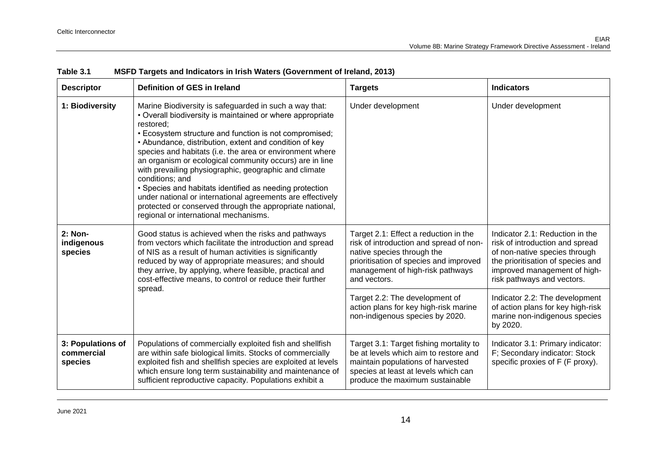| <b>Descriptor</b>                          | Definition of GES in Ireland                                                                                                                                                                                                                                                                                                                                                                                                                                                                                                                                                                                                                                                          | <b>Targets</b>                                                                                                                                                                                               | <b>Indicators</b>                                                                                                                                                                                      |
|--------------------------------------------|---------------------------------------------------------------------------------------------------------------------------------------------------------------------------------------------------------------------------------------------------------------------------------------------------------------------------------------------------------------------------------------------------------------------------------------------------------------------------------------------------------------------------------------------------------------------------------------------------------------------------------------------------------------------------------------|--------------------------------------------------------------------------------------------------------------------------------------------------------------------------------------------------------------|--------------------------------------------------------------------------------------------------------------------------------------------------------------------------------------------------------|
| 1: Biodiversity                            | Marine Biodiversity is safeguarded in such a way that:<br>• Overall biodiversity is maintained or where appropriate<br>restored:<br>• Ecosystem structure and function is not compromised;<br>• Abundance, distribution, extent and condition of key<br>species and habitats (i.e. the area or environment where<br>an organism or ecological community occurs) are in line<br>with prevailing physiographic, geographic and climate<br>conditions; and<br>• Species and habitats identified as needing protection<br>under national or international agreements are effectively<br>protected or conserved through the appropriate national,<br>regional or international mechanisms. | Under development                                                                                                                                                                                            | Under development                                                                                                                                                                                      |
| 2: Non-<br>indigenous<br>species           | Good status is achieved when the risks and pathways<br>from vectors which facilitate the introduction and spread<br>of NIS as a result of human activities is significantly<br>reduced by way of appropriate measures; and should<br>they arrive, by applying, where feasible, practical and<br>cost-effective means, to control or reduce their further<br>spread.                                                                                                                                                                                                                                                                                                                   | Target 2.1: Effect a reduction in the<br>risk of introduction and spread of non-<br>native species through the<br>prioritisation of species and improved<br>management of high-risk pathways<br>and vectors. | Indicator 2.1: Reduction in the<br>risk of introduction and spread<br>of non-native species through<br>the prioritisation of species and<br>improved management of high-<br>risk pathways and vectors. |
|                                            |                                                                                                                                                                                                                                                                                                                                                                                                                                                                                                                                                                                                                                                                                       | Target 2.2: The development of<br>action plans for key high-risk marine<br>non-indigenous species by 2020.                                                                                                   | Indicator 2.2: The development<br>of action plans for key high-risk<br>marine non-indigenous species<br>by 2020.                                                                                       |
| 3: Populations of<br>commercial<br>species | Populations of commercially exploited fish and shellfish<br>are within safe biological limits. Stocks of commercially<br>exploited fish and shellfish species are exploited at levels<br>which ensure long term sustainability and maintenance of<br>sufficient reproductive capacity. Populations exhibit a                                                                                                                                                                                                                                                                                                                                                                          | Target 3.1: Target fishing mortality to<br>be at levels which aim to restore and<br>maintain populations of harvested<br>species at least at levels which can<br>produce the maximum sustainable             | Indicator 3.1: Primary indicator:<br>F; Secondary indicator: Stock<br>specific proxies of F (F proxy).                                                                                                 |

#### **Table 3.1 MSFD Targets and Indicators in Irish Waters (Government of Ireland, 2013)**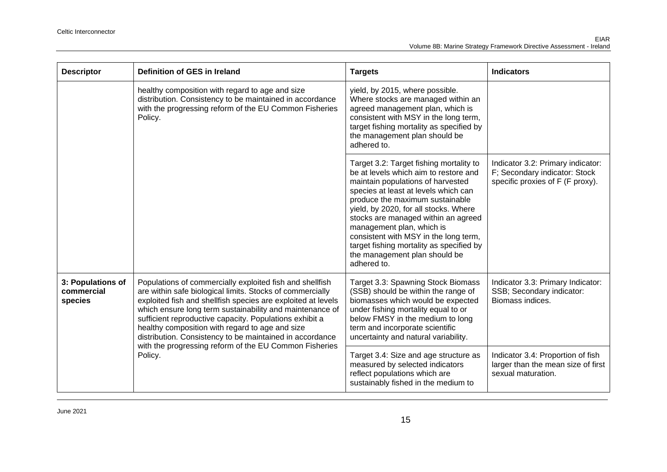| <b>Descriptor</b>                          | Definition of GES in Ireland                                                                                                                                                                                                                                                                                                                                                                                                                                                          | <b>Targets</b>                                                                                                                                                                                                                                                                                                                                                                                                                                     | <b>Indicators</b>                                                                                      |
|--------------------------------------------|---------------------------------------------------------------------------------------------------------------------------------------------------------------------------------------------------------------------------------------------------------------------------------------------------------------------------------------------------------------------------------------------------------------------------------------------------------------------------------------|----------------------------------------------------------------------------------------------------------------------------------------------------------------------------------------------------------------------------------------------------------------------------------------------------------------------------------------------------------------------------------------------------------------------------------------------------|--------------------------------------------------------------------------------------------------------|
|                                            | healthy composition with regard to age and size<br>distribution. Consistency to be maintained in accordance<br>with the progressing reform of the EU Common Fisheries<br>Policy.                                                                                                                                                                                                                                                                                                      | yield, by 2015, where possible.<br>Where stocks are managed within an<br>agreed management plan, which is<br>consistent with MSY in the long term,<br>target fishing mortality as specified by<br>the management plan should be<br>adhered to.                                                                                                                                                                                                     |                                                                                                        |
|                                            |                                                                                                                                                                                                                                                                                                                                                                                                                                                                                       | Target 3.2: Target fishing mortality to<br>be at levels which aim to restore and<br>maintain populations of harvested<br>species at least at levels which can<br>produce the maximum sustainable<br>yield, by 2020, for all stocks. Where<br>stocks are managed within an agreed<br>management plan, which is<br>consistent with MSY in the long term,<br>target fishing mortality as specified by<br>the management plan should be<br>adhered to. | Indicator 3.2: Primary indicator:<br>F; Secondary indicator: Stock<br>specific proxies of F (F proxy). |
| 3: Populations of<br>commercial<br>species | Populations of commercially exploited fish and shellfish<br>are within safe biological limits. Stocks of commercially<br>exploited fish and shellfish species are exploited at levels<br>which ensure long term sustainability and maintenance of<br>sufficient reproductive capacity. Populations exhibit a<br>healthy composition with regard to age and size<br>distribution. Consistency to be maintained in accordance<br>with the progressing reform of the EU Common Fisheries | Target 3.3: Spawning Stock Biomass<br>(SSB) should be within the range of<br>biomasses which would be expected<br>under fishing mortality equal to or<br>below FMSY in the medium to long<br>term and incorporate scientific<br>uncertainty and natural variability.                                                                                                                                                                               | Indicator 3.3: Primary Indicator:<br>SSB; Secondary indicator:<br>Biomass indices.                     |
|                                            | Policy.                                                                                                                                                                                                                                                                                                                                                                                                                                                                               | Target 3.4: Size and age structure as<br>measured by selected indicators<br>reflect populations which are<br>sustainably fished in the medium to                                                                                                                                                                                                                                                                                                   | Indicator 3.4: Proportion of fish<br>larger than the mean size of first<br>sexual maturation.          |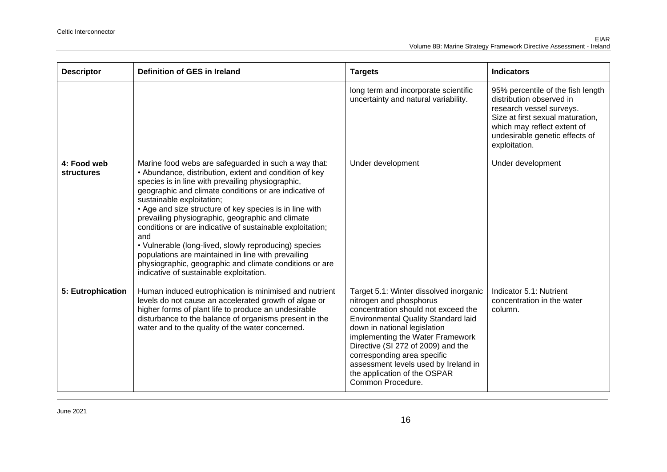| <b>Descriptor</b>                | Definition of GES in Ireland                                                                                                                                                                                                                                                                                                                                                                                                                                                                                                                                                                                                                                       | <b>Targets</b>                                                                                                                                                                                                                                                                                                                                                                               | <b>Indicators</b>                                                                                                                                                                                               |
|----------------------------------|--------------------------------------------------------------------------------------------------------------------------------------------------------------------------------------------------------------------------------------------------------------------------------------------------------------------------------------------------------------------------------------------------------------------------------------------------------------------------------------------------------------------------------------------------------------------------------------------------------------------------------------------------------------------|----------------------------------------------------------------------------------------------------------------------------------------------------------------------------------------------------------------------------------------------------------------------------------------------------------------------------------------------------------------------------------------------|-----------------------------------------------------------------------------------------------------------------------------------------------------------------------------------------------------------------|
|                                  |                                                                                                                                                                                                                                                                                                                                                                                                                                                                                                                                                                                                                                                                    | long term and incorporate scientific<br>uncertainty and natural variability.                                                                                                                                                                                                                                                                                                                 | 95% percentile of the fish length<br>distribution observed in<br>research vessel surveys.<br>Size at first sexual maturation,<br>which may reflect extent of<br>undesirable genetic effects of<br>exploitation. |
| 4: Food web<br><b>structures</b> | Marine food webs are safeguarded in such a way that:<br>• Abundance, distribution, extent and condition of key<br>species is in line with prevailing physiographic,<br>geographic and climate conditions or are indicative of<br>sustainable exploitation;<br>• Age and size structure of key species is in line with<br>prevailing physiographic, geographic and climate<br>conditions or are indicative of sustainable exploitation;<br>and<br>• Vulnerable (long-lived, slowly reproducing) species<br>populations are maintained in line with prevailing<br>physiographic, geographic and climate conditions or are<br>indicative of sustainable exploitation. | Under development                                                                                                                                                                                                                                                                                                                                                                            | Under development                                                                                                                                                                                               |
| 5: Eutrophication                | Human induced eutrophication is minimised and nutrient<br>levels do not cause an accelerated growth of algae or<br>higher forms of plant life to produce an undesirable<br>disturbance to the balance of organisms present in the<br>water and to the quality of the water concerned.                                                                                                                                                                                                                                                                                                                                                                              | Target 5.1: Winter dissolved inorganic<br>nitrogen and phosphorus<br>concentration should not exceed the<br><b>Environmental Quality Standard laid</b><br>down in national legislation<br>implementing the Water Framework<br>Directive (SI 272 of 2009) and the<br>corresponding area specific<br>assessment levels used by Ireland in<br>the application of the OSPAR<br>Common Procedure. | Indicator 5.1: Nutrient<br>concentration in the water<br>column.                                                                                                                                                |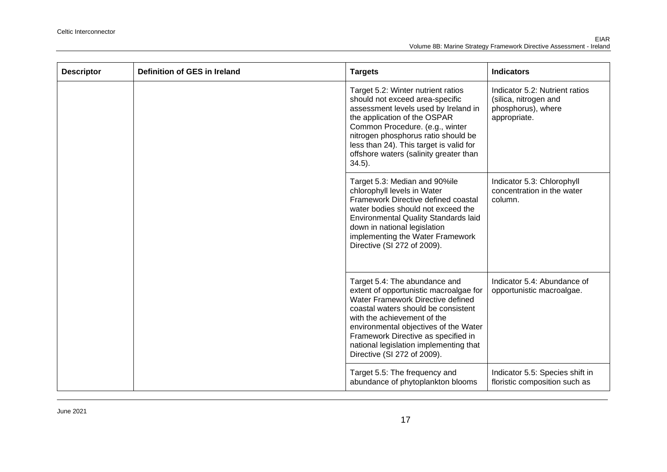| <b>Descriptor</b> | Definition of GES in Ireland | <b>Targets</b>                                                                                                                                                                                                                                                                                                                              | <b>Indicators</b>                                                                             |
|-------------------|------------------------------|---------------------------------------------------------------------------------------------------------------------------------------------------------------------------------------------------------------------------------------------------------------------------------------------------------------------------------------------|-----------------------------------------------------------------------------------------------|
|                   |                              | Target 5.2: Winter nutrient ratios<br>should not exceed area-specific<br>assessment levels used by Ireland in<br>the application of the OSPAR<br>Common Procedure. (e.g., winter<br>nitrogen phosphorus ratio should be<br>less than 24). This target is valid for<br>offshore waters (salinity greater than<br>$34.5$ ).                   | Indicator 5.2: Nutrient ratios<br>(silica, nitrogen and<br>phosphorus), where<br>appropriate. |
|                   |                              | Target 5.3: Median and 90%ile<br>chlorophyll levels in Water<br>Framework Directive defined coastal<br>water bodies should not exceed the<br><b>Environmental Quality Standards laid</b><br>down in national legislation<br>implementing the Water Framework<br>Directive (SI 272 of 2009).                                                 | Indicator 5.3: Chlorophyll<br>concentration in the water<br>column.                           |
|                   |                              | Target 5.4: The abundance and<br>extent of opportunistic macroalgae for<br>Water Framework Directive defined<br>coastal waters should be consistent<br>with the achievement of the<br>environmental objectives of the Water<br>Framework Directive as specified in<br>national legislation implementing that<br>Directive (SI 272 of 2009). | Indicator 5.4: Abundance of<br>opportunistic macroalgae.                                      |
|                   |                              | Target 5.5: The frequency and<br>abundance of phytoplankton blooms                                                                                                                                                                                                                                                                          | Indicator 5.5: Species shift in<br>floristic composition such as                              |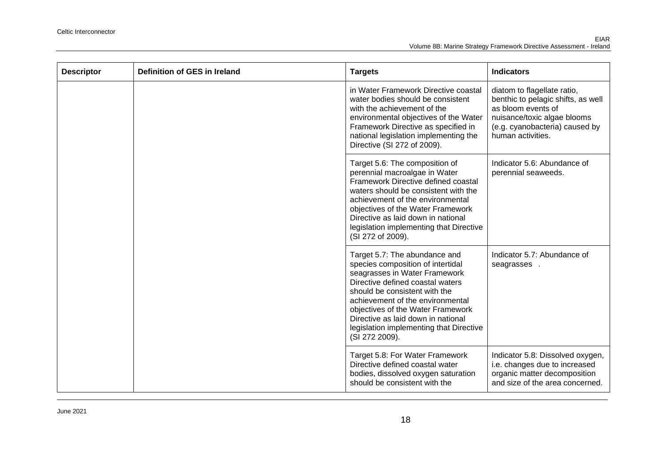| <b>Descriptor</b> | Definition of GES in Ireland | <b>Targets</b>                                                                                                                                                                                                                                                                                                                                       | <b>Indicators</b>                                                                                                                                                             |
|-------------------|------------------------------|------------------------------------------------------------------------------------------------------------------------------------------------------------------------------------------------------------------------------------------------------------------------------------------------------------------------------------------------------|-------------------------------------------------------------------------------------------------------------------------------------------------------------------------------|
|                   |                              | in Water Framework Directive coastal<br>water bodies should be consistent<br>with the achievement of the<br>environmental objectives of the Water<br>Framework Directive as specified in<br>national legislation implementing the<br>Directive (SI 272 of 2009).                                                                                     | diatom to flagellate ratio,<br>benthic to pelagic shifts, as well<br>as bloom events of<br>nuisance/toxic algae blooms<br>(e.g. cyanobacteria) caused by<br>human activities. |
|                   |                              | Target 5.6: The composition of<br>perennial macroalgae in Water<br>Framework Directive defined coastal<br>waters should be consistent with the<br>achievement of the environmental<br>objectives of the Water Framework<br>Directive as laid down in national<br>legislation implementing that Directive<br>(SI 272 of 2009).                        | Indicator 5.6: Abundance of<br>perennial seaweeds.                                                                                                                            |
|                   |                              | Target 5.7: The abundance and<br>species composition of intertidal<br>seagrasses in Water Framework<br>Directive defined coastal waters<br>should be consistent with the<br>achievement of the environmental<br>objectives of the Water Framework<br>Directive as laid down in national<br>legislation implementing that Directive<br>(SI 272 2009). | Indicator 5.7: Abundance of<br>seagrasses.                                                                                                                                    |
|                   |                              | Target 5.8: For Water Framework<br>Directive defined coastal water<br>bodies, dissolved oxygen saturation<br>should be consistent with the                                                                                                                                                                                                           | Indicator 5.8: Dissolved oxygen,<br>i.e. changes due to increased<br>organic matter decomposition<br>and size of the area concerned.                                          |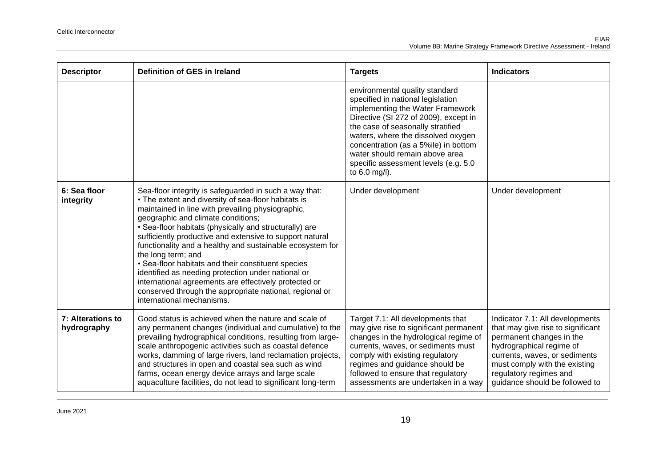| <b>Descriptor</b>                | Definition of GES in Ireland                                                                                                                                                                                                                                                                                                                                                                                                                                                                                                                                                                                                                                                   | <b>Targets</b>                                                                                                                                                                                                                                                                                                                                                   | <b>Indicators</b>                                                                                                                                                                                                                                          |
|----------------------------------|--------------------------------------------------------------------------------------------------------------------------------------------------------------------------------------------------------------------------------------------------------------------------------------------------------------------------------------------------------------------------------------------------------------------------------------------------------------------------------------------------------------------------------------------------------------------------------------------------------------------------------------------------------------------------------|------------------------------------------------------------------------------------------------------------------------------------------------------------------------------------------------------------------------------------------------------------------------------------------------------------------------------------------------------------------|------------------------------------------------------------------------------------------------------------------------------------------------------------------------------------------------------------------------------------------------------------|
|                                  |                                                                                                                                                                                                                                                                                                                                                                                                                                                                                                                                                                                                                                                                                | environmental quality standard<br>specified in national legislation<br>implementing the Water Framework<br>Directive (SI 272 of 2009), except in<br>the case of seasonally stratified<br>waters, where the dissolved oxygen<br>concentration (as a 5%ile) in bottom<br>water should remain above area<br>specific assessment levels (e.g. 5.0<br>to $6.0$ mg/l). |                                                                                                                                                                                                                                                            |
| 6: Sea floor<br>integrity        | Sea-floor integrity is safeguarded in such a way that:<br>• The extent and diversity of sea-floor habitats is<br>maintained in line with prevailing physiographic,<br>geographic and climate conditions;<br>• Sea-floor habitats (physically and structurally) are<br>sufficiently productive and extensive to support natural<br>functionality and a healthy and sustainable ecosystem for<br>the long term; and<br>• Sea-floor habitats and their constituent species<br>identified as needing protection under national or<br>international agreements are effectively protected or<br>conserved through the appropriate national, regional or<br>international mechanisms. | Under development                                                                                                                                                                                                                                                                                                                                                | Under development                                                                                                                                                                                                                                          |
| 7: Alterations to<br>hydrography | Good status is achieved when the nature and scale of<br>any permanent changes (individual and cumulative) to the<br>prevailing hydrographical conditions, resulting from large-<br>scale anthropogenic activities such as coastal defence<br>works, damming of large rivers, land reclamation projects,<br>and structures in open and coastal sea such as wind<br>farms, ocean energy device arrays and large scale<br>aquaculture facilities, do not lead to significant long-term                                                                                                                                                                                            | Target 7.1: All developments that<br>may give rise to significant permanent<br>changes in the hydrological regime of<br>currents, waves, or sediments must<br>comply with existing regulatory<br>regimes and guidance should be<br>followed to ensure that regulatory<br>assessments are undertaken in a way                                                     | Indicator 7.1: All developments<br>that may give rise to significant<br>permanent changes in the<br>hydrographical regime of<br>currents, waves, or sediments<br>must comply with the existing<br>regulatory regimes and<br>guidance should be followed to |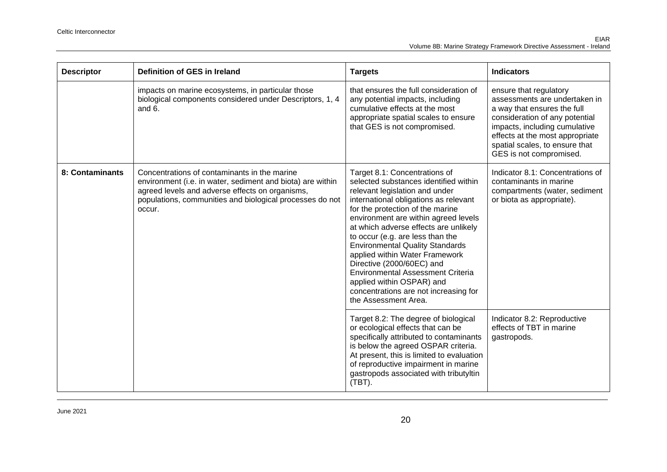| <b>Descriptor</b> | Definition of GES in Ireland                                                                                                                                                                                                        | <b>Targets</b>                                                                                                                                                                                                                                                                                                                                                                                                                                                                                                                                                | <b>Indicators</b>                                                                                                                                                                                                                                         |
|-------------------|-------------------------------------------------------------------------------------------------------------------------------------------------------------------------------------------------------------------------------------|---------------------------------------------------------------------------------------------------------------------------------------------------------------------------------------------------------------------------------------------------------------------------------------------------------------------------------------------------------------------------------------------------------------------------------------------------------------------------------------------------------------------------------------------------------------|-----------------------------------------------------------------------------------------------------------------------------------------------------------------------------------------------------------------------------------------------------------|
|                   | impacts on marine ecosystems, in particular those<br>biological components considered under Descriptors, 1, 4<br>and 6.                                                                                                             | that ensures the full consideration of<br>any potential impacts, including<br>cumulative effects at the most<br>appropriate spatial scales to ensure<br>that GES is not compromised.                                                                                                                                                                                                                                                                                                                                                                          | ensure that regulatory<br>assessments are undertaken in<br>a way that ensures the full<br>consideration of any potential<br>impacts, including cumulative<br>effects at the most appropriate<br>spatial scales, to ensure that<br>GES is not compromised. |
| 8: Contaminants   | Concentrations of contaminants in the marine<br>environment (i.e. in water, sediment and biota) are within<br>agreed levels and adverse effects on organisms,<br>populations, communities and biological processes do not<br>occur. | Target 8.1: Concentrations of<br>selected substances identified within<br>relevant legislation and under<br>international obligations as relevant<br>for the protection of the marine<br>environment are within agreed levels<br>at which adverse effects are unlikely<br>to occur (e.g. are less than the<br><b>Environmental Quality Standards</b><br>applied within Water Framework<br>Directive (2000/60EC) and<br><b>Environmental Assessment Criteria</b><br>applied within OSPAR) and<br>concentrations are not increasing for<br>the Assessment Area. | Indicator 8.1: Concentrations of<br>contaminants in marine<br>compartments (water, sediment<br>or biota as appropriate).                                                                                                                                  |
|                   |                                                                                                                                                                                                                                     | Target 8.2: The degree of biological<br>or ecological effects that can be<br>specifically attributed to contaminants<br>is below the agreed OSPAR criteria.<br>At present, this is limited to evaluation<br>of reproductive impairment in marine<br>gastropods associated with tributyltin<br>$(TBT)$ .                                                                                                                                                                                                                                                       | Indicator 8.2: Reproductive<br>effects of TBT in marine<br>gastropods.                                                                                                                                                                                    |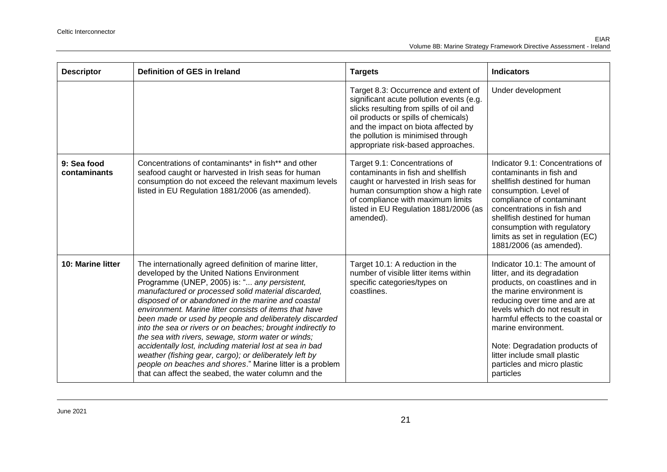| <b>Descriptor</b>           | Definition of GES in Ireland                                                                                                                                                                                                                                                                                                                                                                                                                                                                                                                                                                                                                                                                                                                            | <b>Targets</b>                                                                                                                                                                                                                                                                         | <b>Indicators</b>                                                                                                                                                                                                                                                                                                                                                      |
|-----------------------------|---------------------------------------------------------------------------------------------------------------------------------------------------------------------------------------------------------------------------------------------------------------------------------------------------------------------------------------------------------------------------------------------------------------------------------------------------------------------------------------------------------------------------------------------------------------------------------------------------------------------------------------------------------------------------------------------------------------------------------------------------------|----------------------------------------------------------------------------------------------------------------------------------------------------------------------------------------------------------------------------------------------------------------------------------------|------------------------------------------------------------------------------------------------------------------------------------------------------------------------------------------------------------------------------------------------------------------------------------------------------------------------------------------------------------------------|
|                             |                                                                                                                                                                                                                                                                                                                                                                                                                                                                                                                                                                                                                                                                                                                                                         | Target 8.3: Occurrence and extent of<br>significant acute pollution events (e.g.<br>slicks resulting from spills of oil and<br>oil products or spills of chemicals)<br>and the impact on biota affected by<br>the pollution is minimised through<br>appropriate risk-based approaches. | Under development                                                                                                                                                                                                                                                                                                                                                      |
| 9: Sea food<br>contaminants | Concentrations of contaminants* in fish** and other<br>seafood caught or harvested in Irish seas for human<br>consumption do not exceed the relevant maximum levels<br>listed in EU Regulation 1881/2006 (as amended).                                                                                                                                                                                                                                                                                                                                                                                                                                                                                                                                  | Target 9.1: Concentrations of<br>contaminants in fish and shellfish<br>caught or harvested in Irish seas for<br>human consumption show a high rate<br>of compliance with maximum limits<br>listed in EU Regulation 1881/2006 (as<br>amended).                                          | Indicator 9.1: Concentrations of<br>contaminants in fish and<br>shellfish destined for human<br>consumption. Level of<br>compliance of contaminant<br>concentrations in fish and<br>shellfish destined for human<br>consumption with regulatory<br>limits as set in regulation (EC)<br>1881/2006 (as amended).                                                         |
| <b>10: Marine litter</b>    | The internationally agreed definition of marine litter,<br>developed by the United Nations Environment<br>Programme (UNEP, 2005) is: " any persistent,<br>manufactured or processed solid material discarded,<br>disposed of or abandoned in the marine and coastal<br>environment. Marine litter consists of items that have<br>been made or used by people and deliberately discarded<br>into the sea or rivers or on beaches; brought indirectly to<br>the sea with rivers, sewage, storm water or winds;<br>accidentally lost, including material lost at sea in bad<br>weather (fishing gear, cargo); or deliberately left by<br>people on beaches and shores." Marine litter is a problem<br>that can affect the seabed, the water column and the | Target 10.1: A reduction in the<br>number of visible litter items within<br>specific categories/types on<br>coastlines.                                                                                                                                                                | Indicator 10.1: The amount of<br>litter, and its degradation<br>products, on coastlines and in<br>the marine environment is<br>reducing over time and are at<br>levels which do not result in<br>harmful effects to the coastal or<br>marine environment.<br>Note: Degradation products of<br>litter include small plastic<br>particles and micro plastic<br>particles |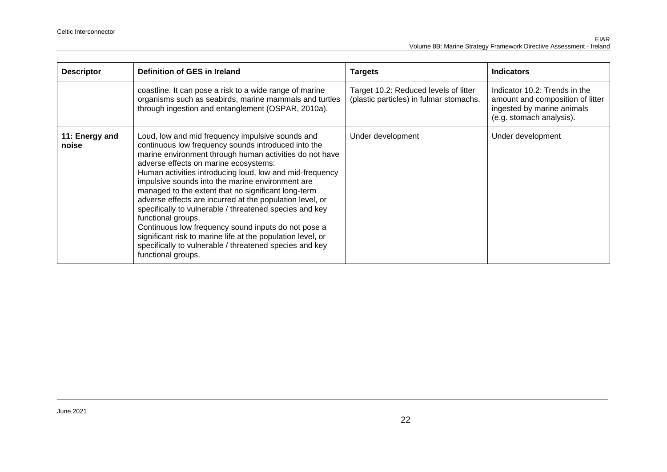| <b>Descriptor</b>       | Definition of GES in Ireland                                                                                                                                                                                                                                                                                                                                                                                                                                                                                                                                                                                                                                                                                                           | <b>Targets</b>                                                                   | <b>Indicators</b>                                                                                                           |
|-------------------------|----------------------------------------------------------------------------------------------------------------------------------------------------------------------------------------------------------------------------------------------------------------------------------------------------------------------------------------------------------------------------------------------------------------------------------------------------------------------------------------------------------------------------------------------------------------------------------------------------------------------------------------------------------------------------------------------------------------------------------------|----------------------------------------------------------------------------------|-----------------------------------------------------------------------------------------------------------------------------|
|                         | coastline. It can pose a risk to a wide range of marine<br>organisms such as seabirds, marine mammals and turtles<br>through ingestion and entanglement (OSPAR, 2010a).                                                                                                                                                                                                                                                                                                                                                                                                                                                                                                                                                                | Target 10.2: Reduced levels of litter<br>(plastic particles) in fulmar stomachs. | Indicator 10.2: Trends in the<br>amount and composition of litter<br>ingested by marine animals<br>(e.g. stomach analysis). |
| 11: Energy and<br>noise | Loud, low and mid frequency impulsive sounds and<br>continuous low frequency sounds introduced into the<br>marine environment through human activities do not have<br>adverse effects on marine ecosystems:<br>Human activities introducing loud, low and mid-frequency<br>impulsive sounds into the marine environment are<br>managed to the extent that no significant long-term<br>adverse effects are incurred at the population level, or<br>specifically to vulnerable / threatened species and key<br>functional groups.<br>Continuous low frequency sound inputs do not pose a<br>significant risk to marine life at the population level, or<br>specifically to vulnerable / threatened species and key<br>functional groups. | Under development                                                                | Under development                                                                                                           |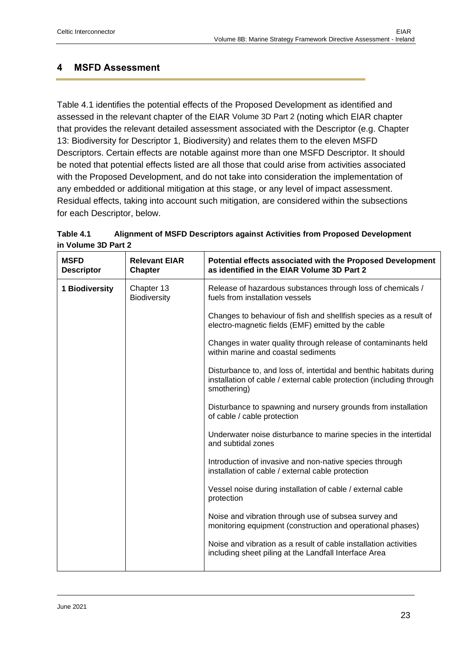# <span id="page-22-0"></span>**4 MSFD Assessment**

Table 4.1 identifies the potential effects of the Proposed Development as identified and assessed in the relevant chapter of the EIAR Volume 3D Part 2 (noting which EIAR chapter that provides the relevant detailed assessment associated with the Descriptor (e.g. Chapter 13: Biodiversity for Descriptor 1, Biodiversity) and relates them to the eleven MSFD Descriptors. Certain effects are notable against more than one MSFD Descriptor. It should be noted that potential effects listed are all those that could arise from activities associated with the Proposed Development, and do not take into consideration the implementation of any embedded or additional mitigation at this stage, or any level of impact assessment. Residual effects, taking into account such mitigation, are considered within the subsections for each Descriptor, below.

| Table 4.1           | Alignment of MSFD Descriptors against Activities from Proposed Development |  |
|---------------------|----------------------------------------------------------------------------|--|
| in Volume 3D Part 2 |                                                                            |  |

| <b>Relevant EIAR</b><br><b>Chapter</b> | Potential effects associated with the Proposed Development<br>as identified in the EIAR Volume 3D Part 2                                                   |
|----------------------------------------|------------------------------------------------------------------------------------------------------------------------------------------------------------|
| Chapter 13<br><b>Biodiversity</b>      | Release of hazardous substances through loss of chemicals /<br>fuels from installation vessels                                                             |
|                                        | Changes to behaviour of fish and shellfish species as a result of<br>electro-magnetic fields (EMF) emitted by the cable                                    |
|                                        | Changes in water quality through release of contaminants held<br>within marine and coastal sediments                                                       |
|                                        | Disturbance to, and loss of, intertidal and benthic habitats during<br>installation of cable / external cable protection (including through<br>smothering) |
|                                        | Disturbance to spawning and nursery grounds from installation<br>of cable / cable protection                                                               |
|                                        | Underwater noise disturbance to marine species in the intertidal<br>and subtidal zones                                                                     |
|                                        | Introduction of invasive and non-native species through<br>installation of cable / external cable protection                                               |
|                                        | Vessel noise during installation of cable / external cable<br>protection                                                                                   |
|                                        | Noise and vibration through use of subsea survey and<br>monitoring equipment (construction and operational phases)                                         |
|                                        | Noise and vibration as a result of cable installation activities<br>including sheet piling at the Landfall Interface Area                                  |
|                                        |                                                                                                                                                            |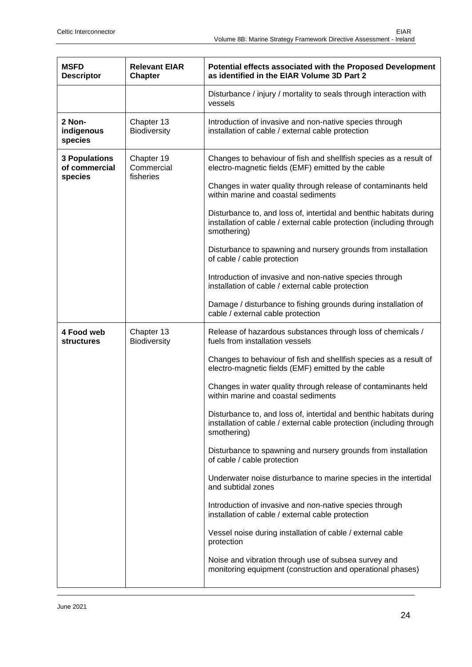| <b>MSFD</b><br><b>Descriptor</b>                 | <b>Relevant EIAR</b><br><b>Chapter</b> | Potential effects associated with the Proposed Development<br>as identified in the EIAR Volume 3D Part 2                                                   |
|--------------------------------------------------|----------------------------------------|------------------------------------------------------------------------------------------------------------------------------------------------------------|
|                                                  |                                        | Disturbance / injury / mortality to seals through interaction with<br>vessels                                                                              |
| 2 Non-<br>indigenous<br>species                  | Chapter 13<br>Biodiversity             | Introduction of invasive and non-native species through<br>installation of cable / external cable protection                                               |
| <b>3 Populations</b><br>of commercial<br>species | Chapter 19<br>Commercial<br>fisheries  | Changes to behaviour of fish and shellfish species as a result of<br>electro-magnetic fields (EMF) emitted by the cable                                    |
|                                                  |                                        | Changes in water quality through release of contaminants held<br>within marine and coastal sediments                                                       |
|                                                  |                                        | Disturbance to, and loss of, intertidal and benthic habitats during<br>installation of cable / external cable protection (including through<br>smothering) |
|                                                  |                                        | Disturbance to spawning and nursery grounds from installation<br>of cable / cable protection                                                               |
|                                                  |                                        | Introduction of invasive and non-native species through<br>installation of cable / external cable protection                                               |
|                                                  |                                        | Damage / disturbance to fishing grounds during installation of<br>cable / external cable protection                                                        |
| 4 Food web<br><b>structures</b>                  | Chapter 13<br>Biodiversity             | Release of hazardous substances through loss of chemicals /<br>fuels from installation vessels                                                             |
|                                                  |                                        | Changes to behaviour of fish and shellfish species as a result of<br>electro-magnetic fields (EMF) emitted by the cable                                    |
|                                                  |                                        | Changes in water quality through release of contaminants held<br>within marine and coastal sediments                                                       |
|                                                  |                                        | Disturbance to, and loss of, intertidal and benthic habitats during<br>installation of cable / external cable protection (including through<br>smothering) |
|                                                  |                                        | Disturbance to spawning and nursery grounds from installation<br>of cable / cable protection                                                               |
|                                                  |                                        | Underwater noise disturbance to marine species in the intertidal<br>and subtidal zones                                                                     |
|                                                  |                                        | Introduction of invasive and non-native species through<br>installation of cable / external cable protection                                               |
|                                                  |                                        | Vessel noise during installation of cable / external cable<br>protection                                                                                   |
|                                                  |                                        | Noise and vibration through use of subsea survey and<br>monitoring equipment (construction and operational phases)                                         |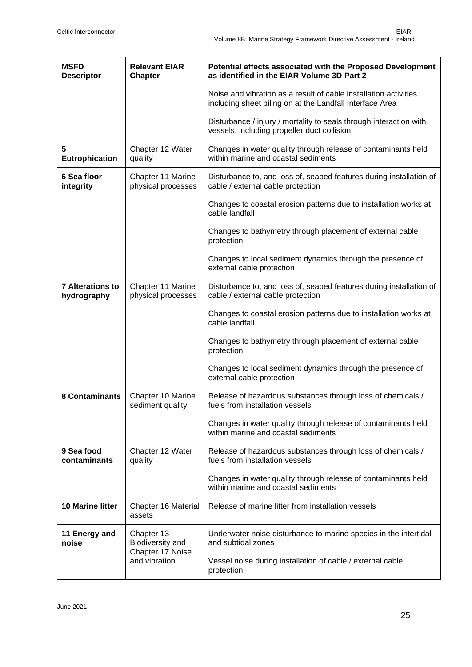| <b>MSFD</b><br><b>Descriptor</b>       | <b>Relevant EIAR</b><br><b>Chapter</b>                              | Potential effects associated with the Proposed Development<br>as identified in the EIAR Volume 3D Part 2                     |
|----------------------------------------|---------------------------------------------------------------------|------------------------------------------------------------------------------------------------------------------------------|
|                                        |                                                                     | Noise and vibration as a result of cable installation activities<br>including sheet piling on at the Landfall Interface Area |
|                                        |                                                                     | Disturbance / injury / mortality to seals through interaction with<br>vessels, including propeller duct collision            |
| 5<br><b>Eutrophication</b>             | Chapter 12 Water<br>quality                                         | Changes in water quality through release of contaminants held<br>within marine and coastal sediments                         |
| 6 Sea floor<br>integrity               | Chapter 11 Marine<br>physical processes                             | Disturbance to, and loss of, seabed features during installation of<br>cable / external cable protection                     |
|                                        |                                                                     | Changes to coastal erosion patterns due to installation works at<br>cable landfall                                           |
|                                        |                                                                     | Changes to bathymetry through placement of external cable<br>protection                                                      |
|                                        |                                                                     | Changes to local sediment dynamics through the presence of<br>external cable protection                                      |
| <b>7 Alterations to</b><br>hydrography | Chapter 11 Marine<br>physical processes                             | Disturbance to, and loss of, seabed features during installation of<br>cable / external cable protection                     |
|                                        |                                                                     | Changes to coastal erosion patterns due to installation works at<br>cable landfall                                           |
|                                        |                                                                     | Changes to bathymetry through placement of external cable<br>protection                                                      |
|                                        |                                                                     | Changes to local sediment dynamics through the presence of<br>external cable protection                                      |
| <b>8 Contaminants</b>                  | Chapter 10 Marine<br>sediment quality                               | Release of hazardous substances through loss of chemicals /<br>fuels from installation vessels                               |
|                                        |                                                                     | Changes in water quality through release of contaminants held<br>within marine and coastal sediments                         |
| 9 Sea food<br>contaminants             | Chapter 12 Water<br>quality                                         | Release of hazardous substances through loss of chemicals /<br>fuels from installation vessels                               |
|                                        |                                                                     | Changes in water quality through release of contaminants held<br>within marine and coastal sediments                         |
| 10 Marine litter                       | Chapter 16 Material<br>assets                                       | Release of marine litter from installation vessels                                                                           |
| 11 Energy and<br>noise                 | Chapter 13<br>Biodiversity and<br>Chapter 17 Noise<br>and vibration | Underwater noise disturbance to marine species in the intertidal<br>and subtidal zones                                       |
|                                        |                                                                     | Vessel noise during installation of cable / external cable<br>protection                                                     |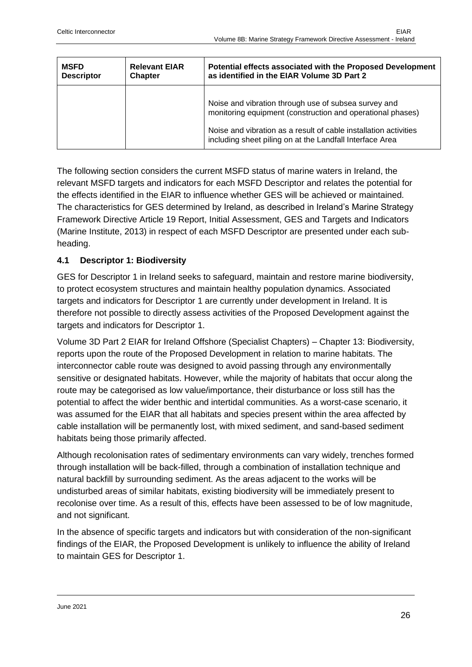| <b>MSFD</b>       | <b>Relevant EIAR</b> | Potential effects associated with the Proposed Development                                                                                                                                                                                         |
|-------------------|----------------------|----------------------------------------------------------------------------------------------------------------------------------------------------------------------------------------------------------------------------------------------------|
| <b>Descriptor</b> | <b>Chapter</b>       | as identified in the EIAR Volume 3D Part 2                                                                                                                                                                                                         |
|                   |                      | Noise and vibration through use of subsea survey and<br>monitoring equipment (construction and operational phases)<br>Noise and vibration as a result of cable installation activities<br>including sheet piling on at the Landfall Interface Area |

The following section considers the current MSFD status of marine waters in Ireland, the relevant MSFD targets and indicators for each MSFD Descriptor and relates the potential for the effects identified in the EIAR to influence whether GES will be achieved or maintained. The characteristics for GES determined by Ireland, as described in Ireland's Marine Strategy Framework Directive Article 19 Report, Initial Assessment, GES and Targets and Indicators (Marine Institute, 2013) in respect of each MSFD Descriptor are presented under each subheading.

#### <span id="page-25-0"></span>**4.1 Descriptor 1: Biodiversity**

GES for Descriptor 1 in Ireland seeks to safeguard, maintain and restore marine biodiversity, to protect ecosystem structures and maintain healthy population dynamics. Associated targets and indicators for Descriptor 1 are currently under development in Ireland. It is therefore not possible to directly assess activities of the Proposed Development against the targets and indicators for Descriptor 1.

Volume 3D Part 2 EIAR for Ireland Offshore (Specialist Chapters) – Chapter 13: Biodiversity, reports upon the route of the Proposed Development in relation to marine habitats. The interconnector cable route was designed to avoid passing through any environmentally sensitive or designated habitats. However, while the majority of habitats that occur along the route may be categorised as low value/importance, their disturbance or loss still has the potential to affect the wider benthic and intertidal communities. As a worst-case scenario, it was assumed for the EIAR that all habitats and species present within the area affected by cable installation will be permanently lost, with mixed sediment, and sand-based sediment habitats being those primarily affected.

Although recolonisation rates of sedimentary environments can vary widely, trenches formed through installation will be back-filled, through a combination of installation technique and natural backfill by surrounding sediment. As the areas adjacent to the works will be undisturbed areas of similar habitats, existing biodiversity will be immediately present to recolonise over time. As a result of this, effects have been assessed to be of low magnitude, and not significant.

In the absence of specific targets and indicators but with consideration of the non-significant findings of the EIAR, the Proposed Development is unlikely to influence the ability of Ireland to maintain GES for Descriptor 1.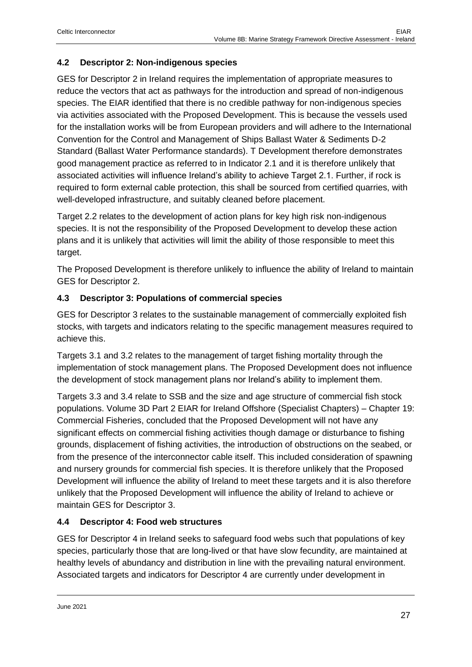#### <span id="page-26-0"></span>**4.2 Descriptor 2: Non-indigenous species**

GES for Descriptor 2 in Ireland requires the implementation of appropriate measures to reduce the vectors that act as pathways for the introduction and spread of non-indigenous species. The EIAR identified that there is no credible pathway for non-indigenous species via activities associated with the Proposed Development. This is because the vessels used for the installation works will be from European providers and will adhere to the International Convention for the Control and Management of Ships Ballast Water & Sediments D-2 Standard (Ballast Water Performance standards). T Development therefore demonstrates good management practice as referred to in Indicator 2.1 and it is therefore unlikely that associated activities will influence Ireland's ability to achieve Target 2.1. Further, if rock is required to form external cable protection, this shall be sourced from certified quarries, with well-developed infrastructure, and suitably cleaned before placement.

Target 2.2 relates to the development of action plans for key high risk non-indigenous species. It is not the responsibility of the Proposed Development to develop these action plans and it is unlikely that activities will limit the ability of those responsible to meet this target.

The Proposed Development is therefore unlikely to influence the ability of Ireland to maintain GES for Descriptor 2.

#### <span id="page-26-1"></span>**4.3 Descriptor 3: Populations of commercial species**

GES for Descriptor 3 relates to the sustainable management of commercially exploited fish stocks, with targets and indicators relating to the specific management measures required to achieve this.

Targets 3.1 and 3.2 relates to the management of target fishing mortality through the implementation of stock management plans. The Proposed Development does not influence the development of stock management plans nor Ireland's ability to implement them.

Targets 3.3 and 3.4 relate to SSB and the size and age structure of commercial fish stock populations. Volume 3D Part 2 EIAR for Ireland Offshore (Specialist Chapters) – Chapter 19: Commercial Fisheries, concluded that the Proposed Development will not have any significant effects on commercial fishing activities though damage or disturbance to fishing grounds, displacement of fishing activities, the introduction of obstructions on the seabed, or from the presence of the interconnector cable itself. This included consideration of spawning and nursery grounds for commercial fish species. It is therefore unlikely that the Proposed Development will influence the ability of Ireland to meet these targets and it is also therefore unlikely that the Proposed Development will influence the ability of Ireland to achieve or maintain GES for Descriptor 3.

#### <span id="page-26-2"></span>**4.4 Descriptor 4: Food web structures**

GES for Descriptor 4 in Ireland seeks to safeguard food webs such that populations of key species, particularly those that are long-lived or that have slow fecundity, are maintained at healthy levels of abundancy and distribution in line with the prevailing natural environment. Associated targets and indicators for Descriptor 4 are currently under development in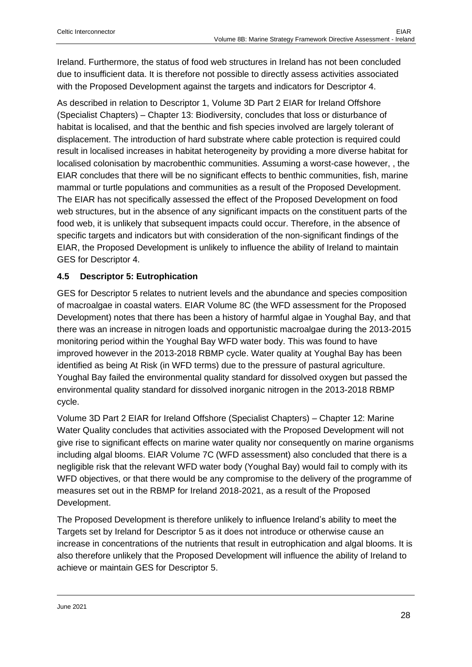Ireland. Furthermore, the status of food web structures in Ireland has not been concluded due to insufficient data. It is therefore not possible to directly assess activities associated with the Proposed Development against the targets and indicators for Descriptor 4.

As described in relation to Descriptor 1, Volume 3D Part 2 EIAR for Ireland Offshore (Specialist Chapters) – Chapter 13: Biodiversity, concludes that loss or disturbance of habitat is localised, and that the benthic and fish species involved are largely tolerant of displacement. The introduction of hard substrate where cable protection is required could result in localised increases in habitat heterogeneity by providing a more diverse habitat for localised colonisation by macrobenthic communities. Assuming a worst-case however, , the EIAR concludes that there will be no significant effects to benthic communities, fish, marine mammal or turtle populations and communities as a result of the Proposed Development. The EIAR has not specifically assessed the effect of the Proposed Development on food web structures, but in the absence of any significant impacts on the constituent parts of the food web, it is unlikely that subsequent impacts could occur. Therefore, in the absence of specific targets and indicators but with consideration of the non-significant findings of the EIAR, the Proposed Development is unlikely to influence the ability of Ireland to maintain GES for Descriptor 4.

#### <span id="page-27-0"></span>**4.5 Descriptor 5: Eutrophication**

GES for Descriptor 5 relates to nutrient levels and the abundance and species composition of macroalgae in coastal waters. EIAR Volume 8C (the WFD assessment for the Proposed Development) notes that there has been a history of harmful algae in Youghal Bay, and that there was an increase in nitrogen loads and opportunistic macroalgae during the 2013-2015 monitoring period within the Youghal Bay WFD water body. This was found to have improved however in the 2013-2018 RBMP cycle. Water quality at Youghal Bay has been identified as being At Risk (in WFD terms) due to the pressure of pastural agriculture. Youghal Bay failed the environmental quality standard for dissolved oxygen but passed the environmental quality standard for dissolved inorganic nitrogen in the 2013-2018 RBMP cycle.

Volume 3D Part 2 EIAR for Ireland Offshore (Specialist Chapters) – Chapter 12: Marine Water Quality concludes that activities associated with the Proposed Development will not give rise to significant effects on marine water quality nor consequently on marine organisms including algal blooms. EIAR Volume 7C (WFD assessment) also concluded that there is a negligible risk that the relevant WFD water body (Youghal Bay) would fail to comply with its WFD objectives, or that there would be any compromise to the delivery of the programme of measures set out in the RBMP for Ireland 2018-2021, as a result of the Proposed Development.

The Proposed Development is therefore unlikely to influence Ireland's ability to meet the Targets set by Ireland for Descriptor 5 as it does not introduce or otherwise cause an increase in concentrations of the nutrients that result in eutrophication and algal blooms. It is also therefore unlikely that the Proposed Development will influence the ability of Ireland to achieve or maintain GES for Descriptor 5.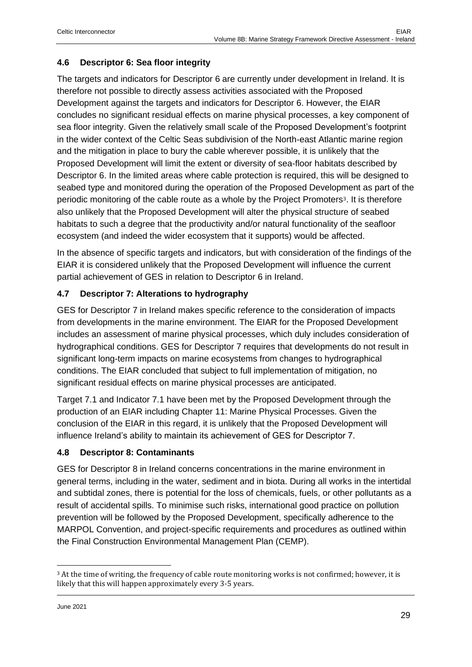#### <span id="page-28-0"></span>**4.6 Descriptor 6: Sea floor integrity**

The targets and indicators for Descriptor 6 are currently under development in Ireland. It is therefore not possible to directly assess activities associated with the Proposed Development against the targets and indicators for Descriptor 6. However, the EIAR concludes no significant residual effects on marine physical processes, a key component of sea floor integrity. Given the relatively small scale of the Proposed Development's footprint in the wider context of the Celtic Seas subdivision of the North-east Atlantic marine region and the mitigation in place to bury the cable wherever possible, it is unlikely that the Proposed Development will limit the extent or diversity of sea-floor habitats described by Descriptor 6. In the limited areas where cable protection is required, this will be designed to seabed type and monitored during the operation of the Proposed Development as part of the periodic monitoring of the cable route as a whole by the Project Promoters3. It is therefore also unlikely that the Proposed Development will alter the physical structure of seabed habitats to such a degree that the productivity and/or natural functionality of the seafloor ecosystem (and indeed the wider ecosystem that it supports) would be affected.

In the absence of specific targets and indicators, but with consideration of the findings of the EIAR it is considered unlikely that the Proposed Development will influence the current partial achievement of GES in relation to Descriptor 6 in Ireland.

#### <span id="page-28-1"></span>**4.7 Descriptor 7: Alterations to hydrography**

GES for Descriptor 7 in Ireland makes specific reference to the consideration of impacts from developments in the marine environment. The EIAR for the Proposed Development includes an assessment of marine physical processes, which duly includes consideration of hydrographical conditions. GES for Descriptor 7 requires that developments do not result in significant long-term impacts on marine ecosystems from changes to hydrographical conditions. The EIAR concluded that subject to full implementation of mitigation, no significant residual effects on marine physical processes are anticipated.

Target 7.1 and Indicator 7.1 have been met by the Proposed Development through the production of an EIAR including Chapter 11: Marine Physical Processes. Given the conclusion of the EIAR in this regard, it is unlikely that the Proposed Development will influence Ireland's ability to maintain its achievement of GES for Descriptor 7.

#### <span id="page-28-2"></span>**4.8 Descriptor 8: Contaminants**

GES for Descriptor 8 in Ireland concerns concentrations in the marine environment in general terms, including in the water, sediment and in biota. During all works in the intertidal and subtidal zones, there is potential for the loss of chemicals, fuels, or other pollutants as a result of accidental spills. To minimise such risks, international good practice on pollution prevention will be followed by the Proposed Development, specifically adherence to the MARPOL Convention, and project-specific requirements and procedures as outlined within the Final Construction Environmental Management Plan (CEMP).

<sup>&</sup>lt;sup>3</sup> At the time of writing, the frequency of cable route monitoring works is not confirmed; however, it is likely that this will happen approximately every 3-5 years.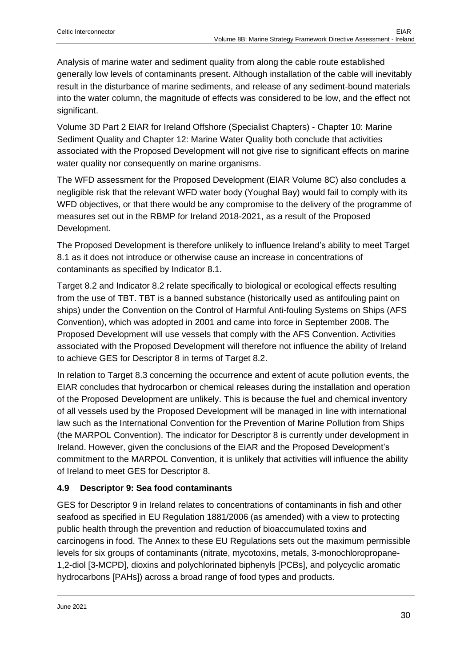Analysis of marine water and sediment quality from along the cable route established generally low levels of contaminants present. Although installation of the cable will inevitably result in the disturbance of marine sediments, and release of any sediment-bound materials into the water column, the magnitude of effects was considered to be low, and the effect not significant.

Volume 3D Part 2 EIAR for Ireland Offshore (Specialist Chapters) - Chapter 10: Marine Sediment Quality and Chapter 12: Marine Water Quality both conclude that activities associated with the Proposed Development will not give rise to significant effects on marine water quality nor consequently on marine organisms.

The WFD assessment for the Proposed Development (EIAR Volume 8C) also concludes a negligible risk that the relevant WFD water body (Youghal Bay) would fail to comply with its WFD objectives, or that there would be any compromise to the delivery of the programme of measures set out in the RBMP for Ireland 2018-2021, as a result of the Proposed Development.

The Proposed Development is therefore unlikely to influence Ireland's ability to meet Target 8.1 as it does not introduce or otherwise cause an increase in concentrations of contaminants as specified by Indicator 8.1.

Target 8.2 and Indicator 8.2 relate specifically to biological or ecological effects resulting from the use of TBT. TBT is a banned substance (historically used as antifouling paint on ships) under the Convention on the Control of Harmful Anti-fouling Systems on Ships (AFS Convention), which was adopted in 2001 and came into force in September 2008. The Proposed Development will use vessels that comply with the AFS Convention. Activities associated with the Proposed Development will therefore not influence the ability of Ireland to achieve GES for Descriptor 8 in terms of Target 8.2.

In relation to Target 8.3 concerning the occurrence and extent of acute pollution events, the EIAR concludes that hydrocarbon or chemical releases during the installation and operation of the Proposed Development are unlikely. This is because the fuel and chemical inventory of all vessels used by the Proposed Development will be managed in line with international law such as the International Convention for the Prevention of Marine Pollution from Ships (the MARPOL Convention). The indicator for Descriptor 8 is currently under development in Ireland. However, given the conclusions of the EIAR and the Proposed Development's commitment to the MARPOL Convention, it is unlikely that activities will influence the ability of Ireland to meet GES for Descriptor 8.

# <span id="page-29-0"></span>**4.9 Descriptor 9: Sea food contaminants**

GES for Descriptor 9 in Ireland relates to concentrations of contaminants in fish and other seafood as specified in EU Regulation 1881/2006 (as amended) with a view to protecting public health through the prevention and reduction of bioaccumulated toxins and carcinogens in food. The Annex to these EU Regulations sets out the maximum permissible levels for six groups of contaminants (nitrate, mycotoxins, metals, 3-monochloropropane-1,2-diol [3-MCPD], dioxins and polychlorinated biphenyls [PCBs], and polycyclic aromatic hydrocarbons [PAHs]) across a broad range of food types and products.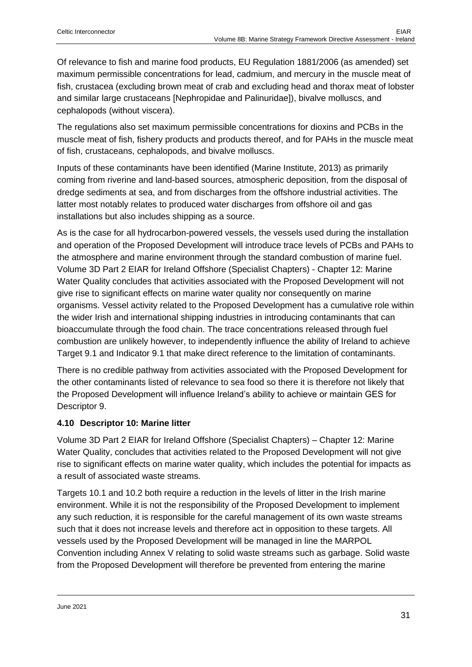Of relevance to fish and marine food products, EU Regulation 1881/2006 (as amended) set maximum permissible concentrations for lead, cadmium, and mercury in the muscle meat of fish, crustacea (excluding brown meat of crab and excluding head and thorax meat of lobster and similar large crustaceans [Nephropidae and Palinuridae]), bivalve molluscs, and cephalopods (without viscera).

The regulations also set maximum permissible concentrations for dioxins and PCBs in the muscle meat of fish, fishery products and products thereof, and for PAHs in the muscle meat of fish, crustaceans, cephalopods, and bivalve molluscs.

Inputs of these contaminants have been identified (Marine Institute, 2013) as primarily coming from riverine and land-based sources, atmospheric deposition, from the disposal of dredge sediments at sea, and from discharges from the offshore industrial activities. The latter most notably relates to produced water discharges from offshore oil and gas installations but also includes shipping as a source.

As is the case for all hydrocarbon-powered vessels, the vessels used during the installation and operation of the Proposed Development will introduce trace levels of PCBs and PAHs to the atmosphere and marine environment through the standard combustion of marine fuel. Volume 3D Part 2 EIAR for Ireland Offshore (Specialist Chapters) - Chapter 12: Marine Water Quality concludes that activities associated with the Proposed Development will not give rise to significant effects on marine water quality nor consequently on marine organisms. Vessel activity related to the Proposed Development has a cumulative role within the wider Irish and international shipping industries in introducing contaminants that can bioaccumulate through the food chain. The trace concentrations released through fuel combustion are unlikely however, to independently influence the ability of Ireland to achieve Target 9.1 and Indicator 9.1 that make direct reference to the limitation of contaminants.

There is no credible pathway from activities associated with the Proposed Development for the other contaminants listed of relevance to sea food so there it is therefore not likely that the Proposed Development will influence Ireland's ability to achieve or maintain GES for Descriptor 9.

#### <span id="page-30-0"></span>**4.10 Descriptor 10: Marine litter**

Volume 3D Part 2 EIAR for Ireland Offshore (Specialist Chapters) – Chapter 12: Marine Water Quality, concludes that activities related to the Proposed Development will not give rise to significant effects on marine water quality, which includes the potential for impacts as a result of associated waste streams.

Targets 10.1 and 10.2 both require a reduction in the levels of litter in the Irish marine environment. While it is not the responsibility of the Proposed Development to implement any such reduction, it is responsible for the careful management of its own waste streams such that it does not increase levels and therefore act in opposition to these targets. All vessels used by the Proposed Development will be managed in line the MARPOL Convention including Annex V relating to solid waste streams such as garbage. Solid waste from the Proposed Development will therefore be prevented from entering the marine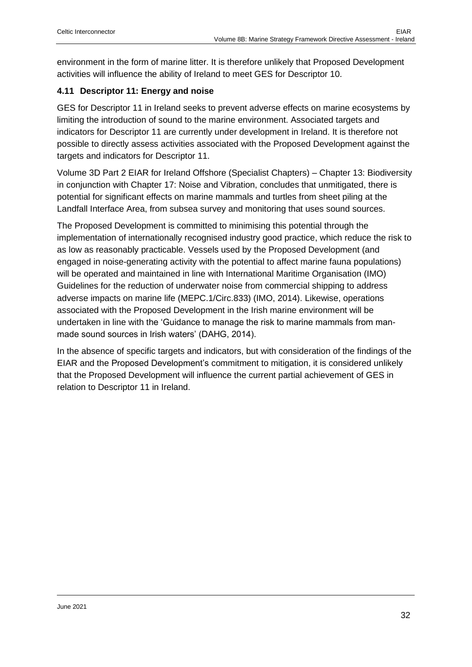environment in the form of marine litter. It is therefore unlikely that Proposed Development activities will influence the ability of Ireland to meet GES for Descriptor 10.

#### <span id="page-31-0"></span>**4.11 Descriptor 11: Energy and noise**

GES for Descriptor 11 in Ireland seeks to prevent adverse effects on marine ecosystems by limiting the introduction of sound to the marine environment. Associated targets and indicators for Descriptor 11 are currently under development in Ireland. It is therefore not possible to directly assess activities associated with the Proposed Development against the targets and indicators for Descriptor 11.

Volume 3D Part 2 EIAR for Ireland Offshore (Specialist Chapters) – Chapter 13: Biodiversity in conjunction with Chapter 17: Noise and Vibration, concludes that unmitigated, there is potential for significant effects on marine mammals and turtles from sheet piling at the Landfall Interface Area, from subsea survey and monitoring that uses sound sources.

The Proposed Development is committed to minimising this potential through the implementation of internationally recognised industry good practice, which reduce the risk to as low as reasonably practicable. Vessels used by the Proposed Development (and engaged in noise-generating activity with the potential to affect marine fauna populations) will be operated and maintained in line with International Maritime Organisation (IMO) Guidelines for the reduction of underwater noise from commercial shipping to address adverse impacts on marine life (MEPC.1/Circ.833) (IMO, 2014). Likewise, operations associated with the Proposed Development in the Irish marine environment will be undertaken in line with the 'Guidance to manage the risk to marine mammals from manmade sound sources in Irish waters' (DAHG, 2014).

In the absence of specific targets and indicators, but with consideration of the findings of the EIAR and the Proposed Development's commitment to mitigation, it is considered unlikely that the Proposed Development will influence the current partial achievement of GES in relation to Descriptor 11 in Ireland.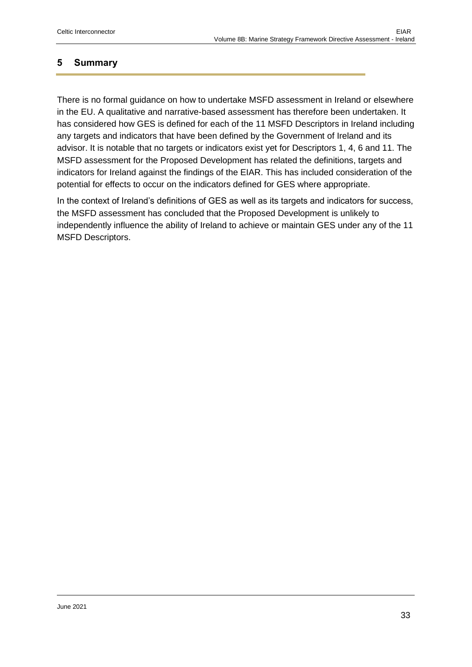# <span id="page-32-0"></span>**5 Summary**

There is no formal guidance on how to undertake MSFD assessment in Ireland or elsewhere in the EU. A qualitative and narrative-based assessment has therefore been undertaken. It has considered how GES is defined for each of the 11 MSFD Descriptors in Ireland including any targets and indicators that have been defined by the Government of Ireland and its advisor. It is notable that no targets or indicators exist yet for Descriptors 1, 4, 6 and 11. The MSFD assessment for the Proposed Development has related the definitions, targets and indicators for Ireland against the findings of the EIAR. This has included consideration of the potential for effects to occur on the indicators defined for GES where appropriate.

In the context of Ireland's definitions of GES as well as its targets and indicators for success, the MSFD assessment has concluded that the Proposed Development is unlikely to independently influence the ability of Ireland to achieve or maintain GES under any of the 11 MSFD Descriptors.